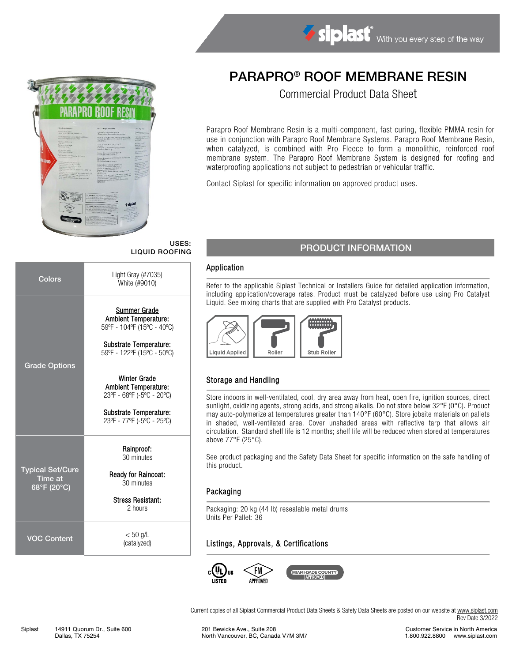Siplast With you every step of the way



# PARAPRO® ROOF MEMBRANE RESIN

Commercial Product Data Sheet

Parapro Roof Membrane Resin is a multi-component, fast curing, flexible PMMA resin for use in conjunction with Parapro Roof Membrane Systems. Parapro Roof Membrane Resin, when catalyzed, is combined with Pro Fleece to form a monolithic, reinforced roof membrane system. The Parapro Roof Membrane System is designed for roofing and waterproofing applications not subject to pedestrian or vehicular traffic.

Contact Siplast for specific information on approved product uses.

# USES:

| Colors                                                   | Light Gray $(\#7035)$<br>White (#9010)                                                                                                                          |
|----------------------------------------------------------|-----------------------------------------------------------------------------------------------------------------------------------------------------------------|
| <b>Grade Options</b>                                     | <b>Summer Grade</b><br><b>Ambient Temperature:</b><br>59°F - 104°F (15°C - 40°C)<br>Substrate Temperature:<br>59°F - 122°F (15°C - 50°C)<br><b>Winter Grade</b> |
|                                                          | <b>Ambient Temperature:</b><br>23°F - 68°F (-5°C - 20°C)<br>Substrate Temperature:<br>23°F - 77°F (-5°C - 25°C)                                                 |
|                                                          | Rainproof:<br>30 minutes                                                                                                                                        |
| <b>Typical Set/Cure</b><br><b>Time at</b><br>68°F (20°C) | <b>Ready for Raincoat:</b><br>30 minutes                                                                                                                        |
|                                                          | <b>Stress Resistant:</b><br>2 hours                                                                                                                             |
| <b>VOC Content</b>                                       | $< 50$ g/L<br>(catalyzed)                                                                                                                                       |

# USES: USES: USES: PRODUCT INFORMATION

#### Application

Refer to the applicable Siplast Technical or Installers Guide for detailed application information, including application/coverage rates. Product must be catalyzed before use using Pro Catalyst Liquid. See mixing charts that are supplied with Pro Catalyst products.



# Storage and Handling

Store indoors in well-ventilated, cool, dry area away from heat, open fire, ignition sources, direct sunlight, oxidizing agents, strong acids, and strong alkalis. Do not store below 32°F (0°C). Product may auto-polymerize at temperatures greater than 140°F (60°C). Store jobsite materials on pallets in shaded, well-ventilated area. Cover unshaded areas with reflective tarp that allows air circulation. Standard shelf life is 12 months; shelf life will be reduced when stored at temperatures above 77°F (25°C).

See product packaging and the Safety Data Sheet for specific information on the safe handling of this product.

#### Packaging

Packaging: 20 kg (44 lb) resealable metal drums Units Per Pallet: 36

# Listings, Approvals, & Certifications



Current copies of all Siplast Commercial Product Data Sheets & Safety Data Sheets are posted on our website a[t www.siplast.com](http://www.siplast.com/) Rev Date 3/2022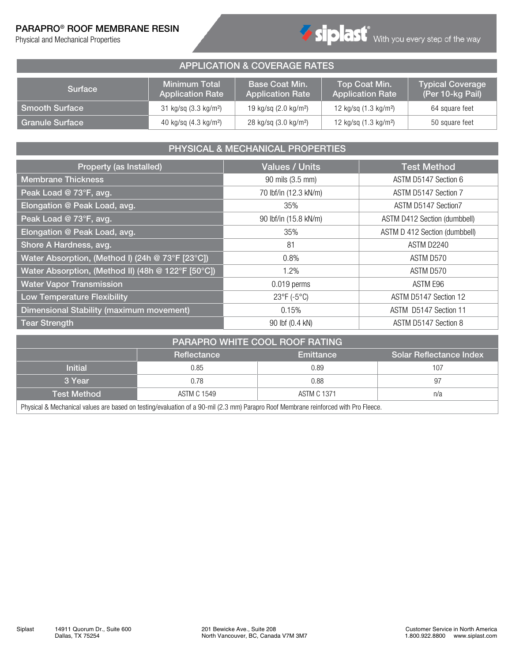### PARAPRO® ROOF MEMBRANE RESIN

Physical and Mechanical Properties



#### APPLICATION & COVERAGE RATES Surface Minimum Total Application Rate Base Coat Min. Application Rate Top Coat Min. Application Rate Typical Coverage (Per 10-kg Pail) Smooth Surface 31 kg/sq (3.3 kg/m<sup>2</sup>) 19 kg/sq (2.0 kg/m<sup>2</sup>) 12 kg/sq (1.3 kg/m<sup>2</sup>) 64 square feet Granule Surface 40 kg/sq (4.3 kg/m<sup>2</sup>)  $\frac{1}{28}$  kg/sq (3.0 kg/m<sup>2</sup>) 12 kg/sq (1.3 kg/m<sup>2</sup>) 50 square feet

# PHYSICAL & MECHANICAL PROPERTIES

| Property (as Installed)                            | <b>Values / Units</b> | <b>Test Method</b>            |  |  |  |
|----------------------------------------------------|-----------------------|-------------------------------|--|--|--|
| <b>Membrane Thickness</b>                          | 90 mils (3.5 mm)      | ASTM D5147 Section 6          |  |  |  |
| Peak Load @ 73°F, avg.                             | 70 lbf/in (12.3 kN/m) | ASTM D5147 Section 7          |  |  |  |
| Elongation @ Peak Load, avg.                       | 35%                   | ASTM D5147 Section7           |  |  |  |
| Peak Load @ 73°F, avg.                             | 90 lbf/in (15.8 kN/m) | ASTM D412 Section (dumbbell)  |  |  |  |
| Elongation @ Peak Load, avg.                       | 35%                   | ASTM D 412 Section (dumbbell) |  |  |  |
| Shore A Hardness, avg.                             | 81                    | ASTM D2240                    |  |  |  |
| Water Absorption, (Method I) (24h @ 73°F [23°C])   | 0.8%                  | ASTM D570                     |  |  |  |
| Water Absorption, (Method II) (48h @ 122°F [50°C]) | 1.2%                  | ASTM D570                     |  |  |  |
| <b>Water Vapor Transmission</b>                    | $0.019$ perms         | ASTM E96                      |  |  |  |
| <b>Low Temperature Flexibility</b>                 | 23°F (-5°C)           | ASTM D5147 Section 12         |  |  |  |
| Dimensional Stability (maximum movement)           | 0.15%                 | ASTM D5147 Section 11         |  |  |  |
| <b>Tear Strength</b>                               | 90 lbf (0.4 kN)       | ASTM D5147 Section 8          |  |  |  |

| PARAPRO WHITE COOL ROOF RATING                                    |                                                                                                                                   |      |     |  |  |  |  |  |  |  |
|-------------------------------------------------------------------|-----------------------------------------------------------------------------------------------------------------------------------|------|-----|--|--|--|--|--|--|--|
| <b>Solar Reflectance Index</b><br>Reflectance<br><b>Emittance</b> |                                                                                                                                   |      |     |  |  |  |  |  |  |  |
| <b>Initial</b>                                                    | 0.85                                                                                                                              | 0.89 | 107 |  |  |  |  |  |  |  |
| 3 Year                                                            | 0.78                                                                                                                              | 0.88 | 97  |  |  |  |  |  |  |  |
| <b>ASTM C 1371</b><br>ASTM C 1549<br>n/a<br><b>Test Method</b>    |                                                                                                                                   |      |     |  |  |  |  |  |  |  |
|                                                                   | Dhugiaal 8 Machaniaal ugusa era baaad en testing/ouglustion of a 00 mil (9.9 mm) Daranra Doof Mambrona reinformad with Dra Flogge |      |     |  |  |  |  |  |  |  |

Physical & Mechanical values are based on testing/evaluation of a 90-mil (2.3 mm) Parapro Roof Membrane reinforced with Pro Fleece.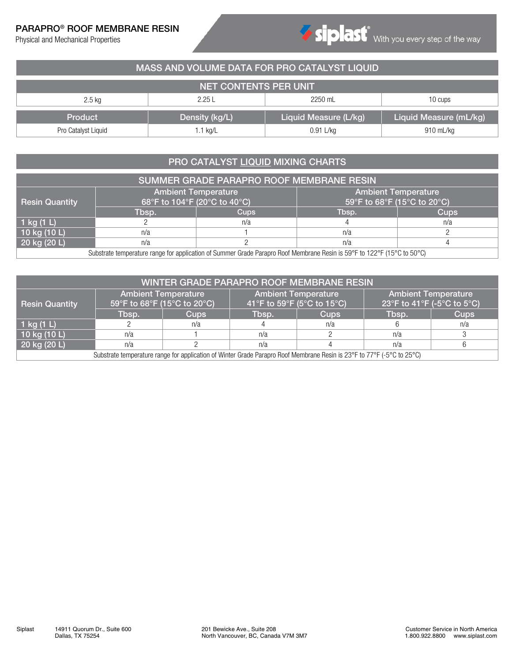## PARAPRO® ROOF MEMBRANE RESIN

Physical and Mechanical Properties

| MASS AND VOLUME DATA FOR PRO CATALYST LIQUID |                             |                       |                        |  |  |  |  |  |  |  |
|----------------------------------------------|-----------------------------|-----------------------|------------------------|--|--|--|--|--|--|--|
| <b>NET CONTENTS PER UNIT</b>                 |                             |                       |                        |  |  |  |  |  |  |  |
| $2.5$ kg                                     | 2.25L<br>2250 mL<br>10 cups |                       |                        |  |  |  |  |  |  |  |
| Product                                      | Density (kg/L)              | Liquid Measure (L/kg) | Liquid Measure (mL/kg) |  |  |  |  |  |  |  |
| Pro Catalyst Liquid                          | $1.1$ kg/L                  | 0.91 L/kg             | 910 mL/kg              |  |  |  |  |  |  |  |

# PRO CATALYST LIQUID MIXING CHARTS

| <b>SUMMER GRADE PARAPRO ROOF MEMBRANE RESIN</b> |                                                                          |                                                                                                                         |                                                           |             |  |  |  |  |  |
|-------------------------------------------------|--------------------------------------------------------------------------|-------------------------------------------------------------------------------------------------------------------------|-----------------------------------------------------------|-------------|--|--|--|--|--|
| <b>Resin Quantity</b>                           | $\sqrt{68^\circ}$ F to 104 $^\circ$ F (20 $^\circ$ C to 40 $^\circ$ C) ( | <b>Ambient Temperature</b>                                                                                              | <b>Ambient Temperature</b><br>59°F to 68°F (15°C to 20°C) |             |  |  |  |  |  |
|                                                 | Tbsp.                                                                    | <b>Cups</b>                                                                                                             | Tbsp.                                                     | <b>Cups</b> |  |  |  |  |  |
| 1 kg $(1 L)$                                    |                                                                          | n/a                                                                                                                     |                                                           | n/a         |  |  |  |  |  |
| 10 kg $(10 L)$                                  | n/a                                                                      |                                                                                                                         | n/a                                                       |             |  |  |  |  |  |
| $20$ kg (20 L)                                  |                                                                          |                                                                                                                         |                                                           |             |  |  |  |  |  |
|                                                 |                                                                          | Substrate temperature range for application of Summer Grade Parapro Roof Membrane Resin is 59°F to 122°F (15°C to 50°C) |                                                           |             |  |  |  |  |  |

| WINTER GRADE PARAPRO ROOF MEMBRANE RESIN                                                                               |                             |                            |                            |                            |                                                          |             |  |  |  |
|------------------------------------------------------------------------------------------------------------------------|-----------------------------|----------------------------|----------------------------|----------------------------|----------------------------------------------------------|-------------|--|--|--|
| <b>Resin Quantity</b>                                                                                                  | 59°F to 68°F (15°C to 20°C) | <b>Ambient Temperature</b> | 41°F to 59°F (5°C to 15°C) | <b>Ambient Temperature</b> | <b>Ambient Temperature</b><br>23°F to 41°F (-5°C to 5°C) |             |  |  |  |
|                                                                                                                        | Tbsp.                       | <b>Cups</b>                | Tbsp.                      | <b>Cups</b>                | Tbsp.                                                    | <b>Cups</b> |  |  |  |
| $1$ kg (1 L)                                                                                                           |                             | n/a                        |                            | n/a                        |                                                          | n/a         |  |  |  |
| 10 kg $(10 L)$                                                                                                         | n/a                         |                            | n/a                        |                            | n/a                                                      |             |  |  |  |
| 20 kg (20 L)                                                                                                           | n/a                         |                            | n/a<br>n/a                 |                            |                                                          |             |  |  |  |
| Substrate temperature range for application of Winter Grade Parapro Roof Membrane Resin is 23°F to 77°F (-5°C to 25°C) |                             |                            |                            |                            |                                                          |             |  |  |  |